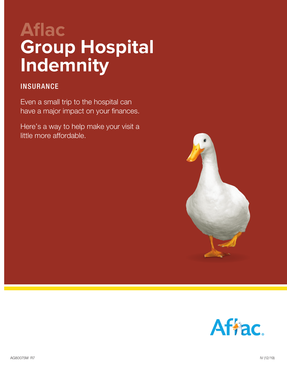# **Aflac Group Hospital Indemnity**

### **INSURANCE**

Even a small trip to the hospital can have a major impact on your finances.

Here's a way to help make your visit a little more affordable.



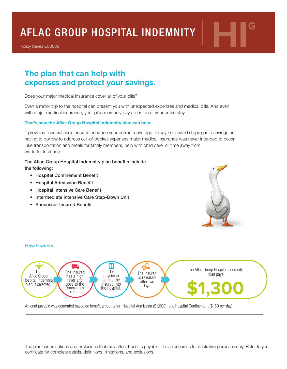# **AFLAC GROUP HOSPITAL INDEMNITY**

Policy Series C80000

## **The plan that can help with expenses and protect your savings.**

Does your major medical insurance cover all of your bills?

Even a minor trip to the hospital can present you with unexpected expenses and medical bills. And even with major medical insurance, your plan may only pay a portion of your entire stay.

#### **That's how the Aflac Group Hospital Indemnity plan can help.**

It provides financial assistance to enhance your current coverage. It may help avoid dipping into savings or having to borrow to address out-of-pocket-expenses major medical insurance was never intended to cover. Like transportation and meals for family members, help with child care, or time away from work, for instance.

#### The Aflac Group Hospital Indemnity plan benefits include

the following:

**How it works**

- Hospital Confinement Benefit
- Hospital Admission Benefit
- Hospital Intensive Care Benefit
- Intermediate Intensive Care Step-Down Unit
- Successor Insured Benefit



#### Н  $\mathbb{C}^{\heartsuit}$ The Aflac Group Hospital Indemnity The The The insured The insured plan pays Aflac Group physician has a high is released Hospital Indemnity admits the fever and after two **\$1,300** plan is selected. goes to the insured into days. emergency the hospital. room.

Amount payable was generated based on benefit amounts for: Hospital Admission (\$1,000), and Hospital Confinement (\$150 per day).

The plan has limitations and exclusions that may affect benefits payable. This brochure is for illustrative purposes only. Refer to your certificate for complete details, definitions, limitations, and exclusions.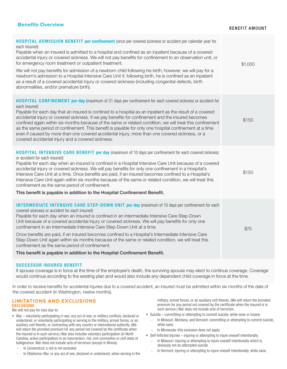#### **Benefits Overview**

#### BENEFIT AMOUNT

| <b>HOSPITAL ADMISSION BENEFIT per confinement</b> (once per covered sickness or accident per calendar year for<br>each insured)<br>Payable when an insured is admitted to a hospital and confined as an inpatient because of a covered<br>accidental injury or covered sickness. We will not pay benefits for confinement to an observation unit, or<br>for emergency room treatment or outpatient treatment.<br>We will not pay benefits for admission of a newborn child following his birth; however, we will pay for a<br>newborn's admission to a Hospital Intensive Care Unit if, following birth, he is confined as an inpatient<br>as a result of a covered accidental injury or covered sickness (including congenital defects, birth<br>abnormalities, and/or premature birth). | \$1,000 |
|-------------------------------------------------------------------------------------------------------------------------------------------------------------------------------------------------------------------------------------------------------------------------------------------------------------------------------------------------------------------------------------------------------------------------------------------------------------------------------------------------------------------------------------------------------------------------------------------------------------------------------------------------------------------------------------------------------------------------------------------------------------------------------------------|---------|
| <b>HOSPITAL CONFINEMENT per day (maximum of 31 days per confinement for each covered sickness or accident for</b><br>each insured)<br>Payable for each day that an insured is confined to a hospital as an inpatient as the result of a covered<br>accidental injury or covered sickness. If we pay benefits for confinement and the insured becomes<br>confined again within six months because of the same or related condition, we will treat this confinement<br>as the same period of confinement. This benefit is payable for only one hospital confinement at a time<br>even if caused by more than one covered accidental injury, more than one covered sickness, or a<br>covered accidental injury and a covered sickness.                                                       | \$150   |
| <b>HOSPITAL INTENSIVE CARE BENEFIT per day</b> (maximum of 10 days per confinement for each covered sickness<br>or accident for each insured)<br>Payable for each day when an insured is confined in a Hospital Intensive Care Unit because of a covered<br>accidental injury or covered sickness. We will pay benefits for only one confinement in a Hospital's<br>Intensive Care Unit at a time. Once benefits are paid, if an insured becomes confined to a Hospital's<br>Intensive Care Unit again within six months because of the same or related condition, we will treat this<br>confinement as the same period of confinement.<br>This benefit is payable in addition to the Hospital Confinement Benefit.                                                                       | \$150   |
| <b>INTERMEDIATE INTENSIVE CARE STEP-DOWN UNIT per day</b> (maximum of 10 days per confinement for each<br>covered sickness or accident for each insured)<br>Payable for each day when an insured is confined in an Intermediate Intensive Care Step-Down<br>Unit because of a covered accidental injury or covered sickness. We will pay benefits for only one<br>confinement in an Intermediate Intensive Care Step-Down Unit at a time.<br>Once benefits are paid, if an insured becomes confined to a Hospital's Intermediate Intensive Care<br>Step-Down Unit again within six months because of the same or related condition, we will treat this<br>confinement as the same period of confinement.<br>This benefit is payable in addition to the Hospital Confinement Benefit.      | \$75    |

#### SUCCESSOR INSURED BENEFIT

If spouse coverage is in force at the time of the employee's death, the surviving spouse may elect to continue coverage. Coverage would continue according to the existing plan and would also include any dependent child coverage in force at the time.

In order to receive benefits for accidental injuries due to a covered accident, an insured must be admitted within six months of the date of the covered accident (in Washington, twelve months).

#### **LIMITATIONS AND EXCLUSIONS** EXCLUSIONS

We will not pay for loss due to:

- War voluntarily participating in war, any act of war, or military conflicts, declared or undeclared, or voluntarily participating or serving in the military, armed forces, or an auxiliary unit thereto, or contracting with any country or international authority. (We will return the prorated premium for any period not covered by the certificate when the insured is in such service.) War also includes voluntary participation (In North Carolina, active participation) in an insurrection, riot, civil commotion or civil state of belligerence. War does not include acts of terrorism (except in Illinois).
	- − In Connecticut: a riot is not excluded.
	- In Oklahoma: War, or any act of war, declared or undeclared, when serving in the

military, armed forces, or an auxiliary unit thereto. (We will return the prorated premium for any period not covered by the certificate when the insured is in such service.) War does not include acts of terrorism.

- Suicide committing or attempting to commit suicide, while sane or insane.
- − In Missouri, Montana, and Vermont: committing or attempting to commit suicide, while sane.
- − In Minnesota: this exclusion does not apply.
- Self-Inflicted Injuries injuring or attempting to injure oneself intentionally.
	- − In Missouri: injuring or attempting to injure oneself intentionally which is obviously not an attempted suicide.
	- In Vermont: injuring or attempting to injure oneself intentionally, while sane.